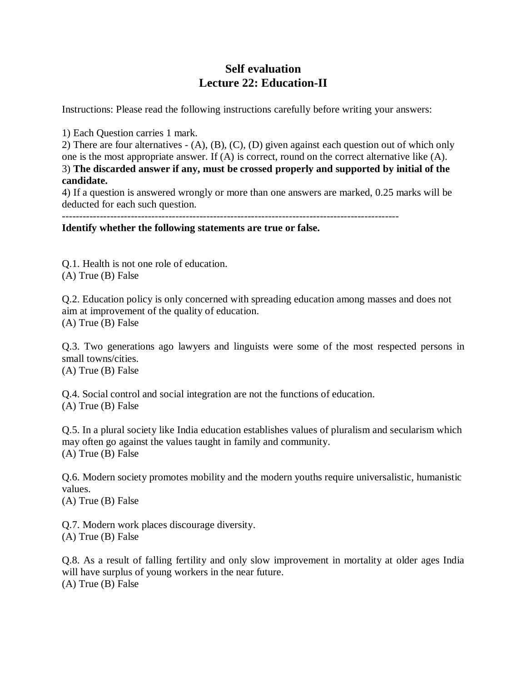## **Self evaluation Lecture 22: Education-II**

Instructions: Please read the following instructions carefully before writing your answers:

1) Each Question carries 1 mark.

2) There are four alternatives - (A), (B), (C), (D) given against each question out of which only one is the most appropriate answer. If (A) is correct, round on the correct alternative like (A). 3) **The discarded answer if any, must be crossed properly and supported by initial of the candidate.**

4) If a question is answered wrongly or more than one answers are marked, 0.25 marks will be deducted for each such question.

**Identify whether the following statements are true or false.** 

Q.1. Health is not one role of education. (A) True (B) False

Q.2. Education policy is only concerned with spreading education among masses and does not aim at improvement of the quality of education. (A) True (B) False

Q.3. Two generations ago lawyers and linguists were some of the most respected persons in small towns/cities.

(A) True (B) False

Q.4. Social control and social integration are not the functions of education. (A) True (B) False

Q.5. In a plural society like India education establishes values of pluralism and secularism which may often go against the values taught in family and community. (A) True (B) False

Q.6. Modern society promotes mobility and the modern youths require universalistic, humanistic values.

(A) True (B) False

Q.7. Modern work places discourage diversity. (A) True (B) False

Q.8. As a result of falling fertility and only slow improvement in mortality at older ages India will have surplus of young workers in the near future. (A) True (B) False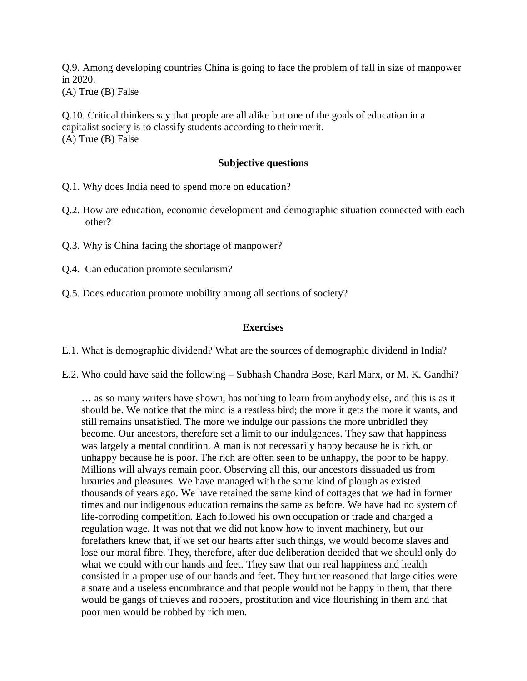Q.9. Among developing countries China is going to face the problem of fall in size of manpower in 2020.

(A) True (B) False

Q.10. Critical thinkers say that people are all alike but one of the goals of education in a capitalist society is to classify students according to their merit. (A) True (B) False

## **Subjective questions**

Q.1. Why does India need to spend more on education?

- Q.2. How are education, economic development and demographic situation connected with each other?
- Q.3. Why is China facing the shortage of manpower?
- Q.4. Can education promote secularism?
- Q.5. Does education promote mobility among all sections of society?

## **Exercises**

E.1. What is demographic dividend? What are the sources of demographic dividend in India?

E.2. Who could have said the following – Subhash Chandra Bose, Karl Marx, or M. K. Gandhi?

… as so many writers have shown, has nothing to learn from anybody else, and this is as it should be. We notice that the mind is a restless bird; the more it gets the more it wants, and still remains unsatisfied. The more we indulge our passions the more unbridled they become. Our ancestors, therefore set a limit to our indulgences. They saw that happiness was largely a mental condition. A man is not necessarily happy because he is rich, or unhappy because he is poor. The rich are often seen to be unhappy, the poor to be happy. Millions will always remain poor. Observing all this, our ancestors dissuaded us from luxuries and pleasures. We have managed with the same kind of plough as existed thousands of years ago. We have retained the same kind of cottages that we had in former times and our indigenous education remains the same as before. We have had no system of life-corroding competition. Each followed his own occupation or trade and charged a regulation wage. It was not that we did not know how to invent machinery, but our forefathers knew that, if we set our hearts after such things, we would become slaves and lose our moral fibre. They, therefore, after due deliberation decided that we should only do what we could with our hands and feet. They saw that our real happiness and health consisted in a proper use of our hands and feet. They further reasoned that large cities were a snare and a useless encumbrance and that people would not be happy in them, that there would be gangs of thieves and robbers, prostitution and vice flourishing in them and that poor men would be robbed by rich men.